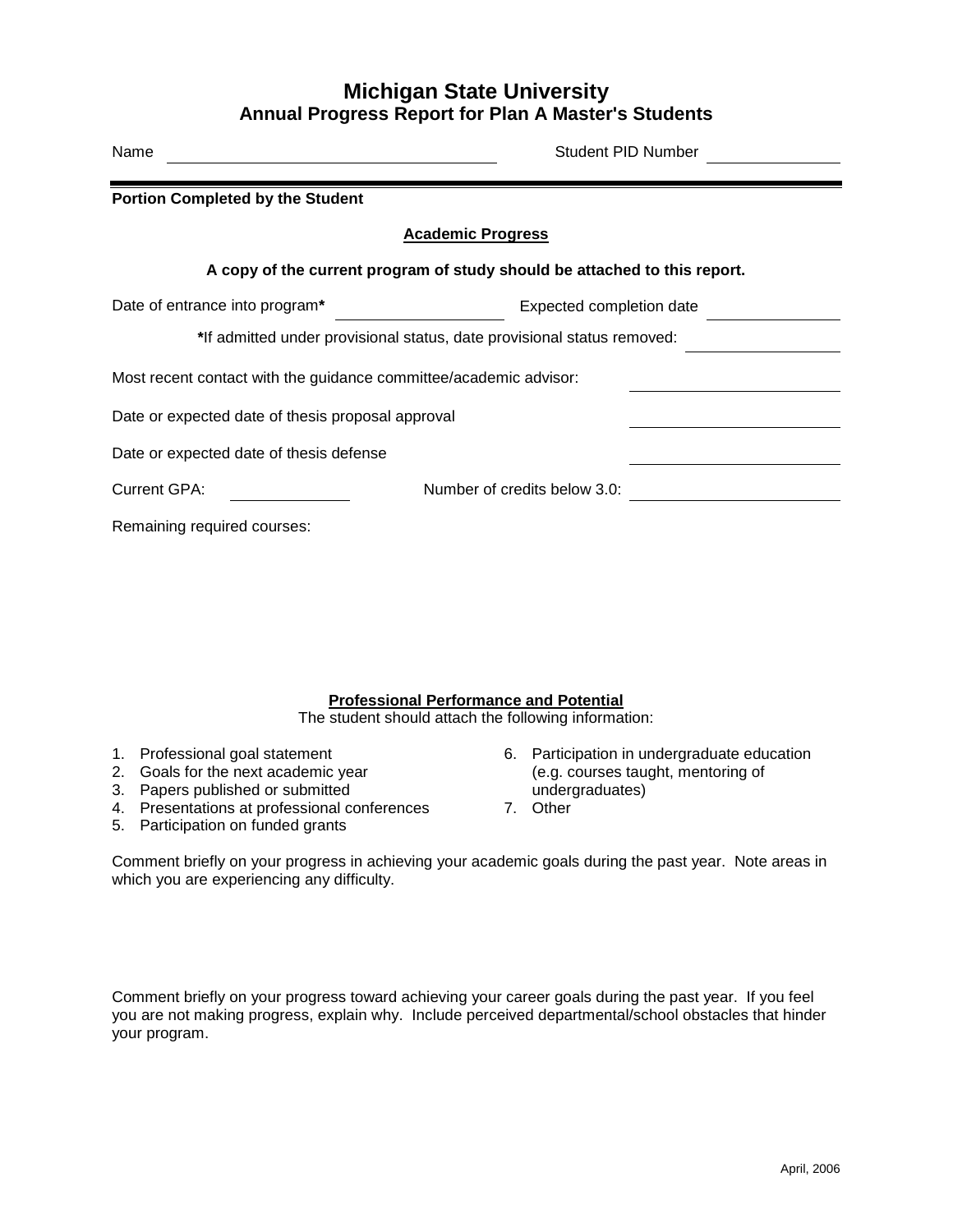## **Michigan State University Annual Progress Report for Plan A Master's Students**

| Name                                                              | Student PID Number                                                        |
|-------------------------------------------------------------------|---------------------------------------------------------------------------|
| <b>Portion Completed by the Student</b>                           |                                                                           |
|                                                                   | <b>Academic Progress</b>                                                  |
|                                                                   | A copy of the current program of study should be attached to this report. |
| Date of entrance into program*                                    | Expected completion date                                                  |
|                                                                   | *If admitted under provisional status, date provisional status removed:   |
| Most recent contact with the guidance committee/academic advisor: |                                                                           |
| Date or expected date of thesis proposal approval                 |                                                                           |
| Date or expected date of thesis defense                           |                                                                           |
| Current GPA:                                                      | Number of credits below 3.0:                                              |
| Remaining required courses:                                       |                                                                           |

## **Professional Performance and Potential**

The student should attach the following information:

- 
- 
- 
- 3. Papers published or submitted<br>4. Presentations at professional conferences 7. Other 4. Presentations at professional conferences
- 5. Participation on funded grants
- 1. Professional goal statement 6. Participation in undergraduate education<br>2. Goals for the next academic year (e.g. courses taught, mentoring of 2. Goals for the next academic year (e.g. courses taught) 3. Papers published or submitted (and a mentoring of the mentoring of the mentoring of the mentoring of the mentoring of the mentoring of the mentoring of the mento
	-

Comment briefly on your progress in achieving your academic goals during the past year. Note areas in which you are experiencing any difficulty.

Comment briefly on your progress toward achieving your career goals during the past year. If you feel you are not making progress, explain why. Include perceived departmental/school obstacles that hinder your program.